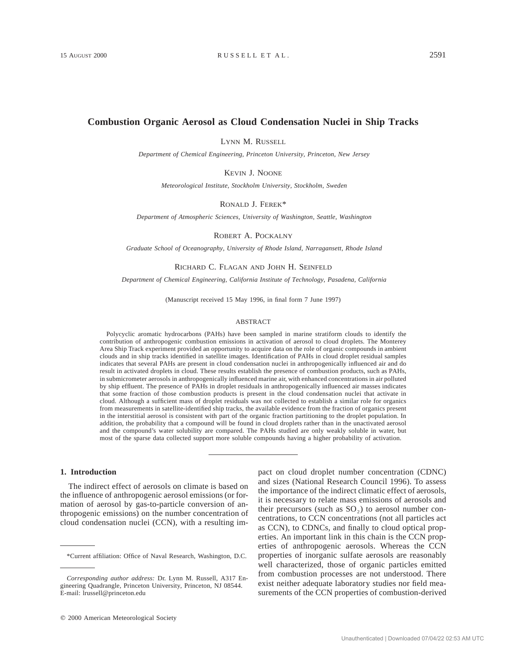# **Combustion Organic Aerosol as Cloud Condensation Nuclei in Ship Tracks**

LYNN M. RUSSELL

*Department of Chemical Engineering, Princeton University, Princeton, New Jersey*

KEVIN J. NOONE

*Meteorological Institute, Stockholm University, Stockholm, Sweden*

RONALD J. FEREK\*

*Department of Atmospheric Sciences, University of Washington, Seattle, Washington*

ROBERT A. POCKALNY

*Graduate School of Oceanography, University of Rhode Island, Narragansett, Rhode Island*

### RICHARD C. FLAGAN AND JOHN H. SEINFELD

*Department of Chemical Engineering, California Institute of Technology, Pasadena, California*

(Manuscript received 15 May 1996, in final form 7 June 1997)

#### ABSTRACT

Polycyclic aromatic hydrocarbons (PAHs) have been sampled in marine stratiform clouds to identify the contribution of anthropogenic combustion emissions in activation of aerosol to cloud droplets. The Monterey Area Ship Track experiment provided an opportunity to acquire data on the role of organic compounds in ambient clouds and in ship tracks identified in satellite images. Identification of PAHs in cloud droplet residual samples indicates that several PAHs are present in cloud condensation nuclei in anthropogenically influenced air and do result in activated droplets in cloud. These results establish the presence of combustion products, such as PAHs, in submicrometer aerosols in anthropogenically influenced marine air, with enhanced concentrations in air polluted by ship effluent. The presence of PAHs in droplet residuals in anthropogenically influenced air masses indicates that some fraction of those combustion products is present in the cloud condensation nuclei that activate in cloud. Although a sufficient mass of droplet residuals was not collected to establish a similar role for organics from measurements in satellite-identified ship tracks, the available evidence from the fraction of organics present in the interstitial aerosol is consistent with part of the organic fraction partitioning to the droplet population. In addition, the probability that a compound will be found in cloud droplets rather than in the unactivated aerosol and the compound's water solubility are compared. The PAHs studied are only weakly soluble in water, but most of the sparse data collected support more soluble compounds having a higher probability of activation.

### **1. Introduction**

The indirect effect of aerosols on climate is based on the influence of anthropogenic aerosol emissions (or formation of aerosol by gas-to-particle conversion of anthropogenic emissions) on the number concentration of cloud condensation nuclei (CCN), with a resulting im-

 $Q$  2000 American Meteorological Society

pact on cloud droplet number concentration (CDNC) and sizes (National Research Council 1996). To assess the importance of the indirect climatic effect of aerosols, it is necessary to relate mass emissions of aerosols and their precursors (such as  $SO<sub>2</sub>$ ) to aerosol number concentrations, to CCN concentrations (not all particles act as CCN), to CDNCs, and finally to cloud optical properties. An important link in this chain is the CCN properties of anthropogenic aerosols. Whereas the CCN properties of inorganic sulfate aerosols are reasonably well characterized, those of organic particles emitted from combustion processes are not understood. There exist neither adequate laboratory studies nor field measurements of the CCN properties of combustion-derived

<sup>\*</sup>Current affiliation: Office of Naval Research, Washington, D.C.

*Corresponding author address:* Dr. Lynn M. Russell, A317 Engineering Quadrangle, Princeton University, Princeton, NJ 08544. E-mail: lrussell@princeton.edu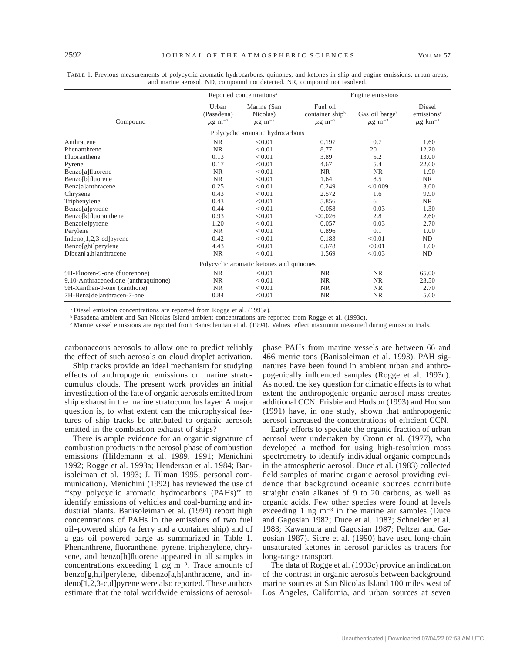|                                      | Reported concentrations <sup>a</sup>           |                                                    | Engine emissions                                       |                                       |                                                              |  |
|--------------------------------------|------------------------------------------------|----------------------------------------------------|--------------------------------------------------------|---------------------------------------|--------------------------------------------------------------|--|
| Compound                             | Urban<br>(Pasadena)<br>$\mu$ g m <sup>-3</sup> | Marine (San<br>Nicolas)<br>$\mu$ g m <sup>-3</sup> | Fuel oil<br>container shipb<br>$\mu\mathrm{g\ m^{-3}}$ | Gas oil bargeb<br>$\mu{\rm g~m^{-3}}$ | Diesel<br>emissions <sup>c</sup><br>$\mu$ g km <sup>-1</sup> |  |
|                                      |                                                | Polycyclic aromatic hydrocarbons                   |                                                        |                                       |                                                              |  |
| Anthracene                           | NR.                                            | < 0.01                                             | 0.197                                                  | 0.7                                   | 1.60                                                         |  |
| Phenanthrene                         | <b>NR</b>                                      | < 0.01                                             | 8.77                                                   | 20                                    | 12.20                                                        |  |
| Fluoranthene                         | 0.13                                           | < 0.01                                             | 3.89                                                   | 5.2                                   | 13.00                                                        |  |
| Pyrene                               | 0.17                                           | < 0.01                                             | 4.67                                                   | 5.4                                   | 22.60                                                        |  |
| Benzo[a]fluorene                     | NR.                                            | < 0.01                                             | <b>NR</b>                                              | <b>NR</b>                             | 1.90                                                         |  |
| Benzo[b]fluorene                     | <b>NR</b>                                      | < 0.01                                             | 1.64                                                   | 8.5                                   | NR.                                                          |  |
| Benz[a]anthracene                    | 0.25                                           | < 0.01                                             | 0.249                                                  | < 0.009                               | 3.60                                                         |  |
| Chrysene                             | 0.43                                           | < 0.01                                             | 2.572                                                  | 1.6                                   | 9.90                                                         |  |
| Triphenylene                         | 0.43                                           | < 0.01                                             | 5.856                                                  | 6                                     | NR                                                           |  |
| Benzo[a]pyrene                       | 0.44                                           | < 0.01                                             | 0.058                                                  | 0.03                                  | 1.30                                                         |  |
| Benzo[k]fluoranthene                 | 0.93                                           | < 0.01                                             | < 0.026                                                | 2.8                                   | 2.60                                                         |  |
| Benzo[e]pyrene                       | 1.20                                           | < 0.01                                             | 0.057                                                  | 0.03                                  | 2.70                                                         |  |
| Perylene                             | <b>NR</b>                                      | < 0.01                                             | 0.896                                                  | 0.1                                   | 1.00                                                         |  |
| $Indeno[1,2,3-cd]pyrene$             | 0.42                                           | < 0.01                                             | 0.183                                                  | < 0.01                                | ND                                                           |  |
| Benzo[ghi]perylene                   | 4.43                                           | < 0.01                                             | 0.678                                                  | < 0.01                                | 1.60                                                         |  |
| $Dibezn[a,h]$ anthracene             | <b>NR</b>                                      | < 0.01                                             | 1.569                                                  | < 0.03                                | ND                                                           |  |
|                                      |                                                | Polycyclic aromatic ketones and quinones           |                                                        |                                       |                                                              |  |
| 9H-Fluoren-9-one (fluorenone)        | NR                                             | < 0.01                                             | <b>NR</b>                                              | NR.                                   | 65.00                                                        |  |
| 9,10-Anthracenedione (anthraquinone) | NR.                                            | < 0.01                                             | <b>NR</b>                                              | <b>NR</b>                             | 23.50                                                        |  |
| 9H-Xanthen-9-one (xanthone)          | <b>NR</b>                                      | < 0.01                                             | <b>NR</b>                                              | <b>NR</b>                             | 2.70                                                         |  |
| 7H-Benz[de]anthracen-7-one           | 0.84                                           | < 0.01                                             | <b>NR</b>                                              | <b>NR</b>                             | 5.60                                                         |  |

TABLE 1. Previous measurements of polycyclic aromatic hydrocarbons, quinones, and ketones in ship and engine emissions, urban areas, and marine aerosol. ND, compound not detected. NR, compound not resolved.

<sup>a</sup> Diesel emission concentrations are reported from Rogge et al. (1993a).

<sup>b</sup> Pasadena ambient and San Nicolas Island ambient concentrations are reported from Rogge et al. (1993c).

<sup>c</sup> Marine vessel emissions are reported from Banisoleiman et al. (1994). Values reflect maximum measured during emission trials.

carbonaceous aerosols to allow one to predict reliably the effect of such aerosols on cloud droplet activation.

Ship tracks provide an ideal mechanism for studying effects of anthropogenic emissions on marine stratocumulus clouds. The present work provides an initial investigation of the fate of organic aerosols emitted from ship exhaust in the marine stratocumulus layer. A major question is, to what extent can the microphysical features of ship tracks be attributed to organic aerosols emitted in the combustion exhaust of ships?

There is ample evidence for an organic signature of combustion products in the aerosol phase of combustion emissions (Hildemann et al. 1989, 1991; Menichini 1992; Rogge et al. 1993a; Henderson et al. 1984; Banisoleiman et al. 1993; J. Tilman 1995, personal communication). Menichini (1992) has reviewed the use of ''spy polycyclic aromatic hydrocarbons (PAHs)'' to identify emissions of vehicles and coal-burning and industrial plants. Banisoleiman et al. (1994) report high concentrations of PAHs in the emissions of two fuel oil–powered ships (a ferry and a container ship) and of a gas oil–powered barge as summarized in Table 1. Phenanthrene, fluoranthene, pyrene, triphenylene, chrysene, and benzo[b]fluorene appeared in all samples in concentrations exceeding 1  $\mu$ g m<sup>-3</sup>. Trace amounts of benzo[g,h,i]perylene, dibenzo[a,h]anthracene, and indeno[1,2,3-c,d]pyrene were also reported. These authors estimate that the total worldwide emissions of aerosol-

phase PAHs from marine vessels are between 66 and 466 metric tons (Banisoleiman et al. 1993). PAH signatures have been found in ambient urban and anthropogenically influenced samples (Rogge et al. 1993c). As noted, the key question for climatic effects is to what extent the anthropogenic organic aerosol mass creates additional CCN. Frisbie and Hudson (1993) and Hudson (1991) have, in one study, shown that anthropogenic aerosol increased the concentrations of efficient CCN.

Early efforts to speciate the organic fraction of urban aerosol were undertaken by Cronn et al. (1977), who developed a method for using high-resolution mass spectrometry to identify individual organic compounds in the atmospheric aerosol. Duce et al. (1983) collected field samples of marine organic aerosol providing evidence that background oceanic sources contribute straight chain alkanes of 9 to 20 carbons, as well as organic acids. Few other species were found at levels exceeding 1 ng  $m^{-3}$  in the marine air samples (Duce and Gagosian 1982; Duce et al. 1983; Schneider et al. 1983; Kawamura and Gagosian 1987; Peltzer and Gagosian 1987). Sicre et al. (1990) have used long-chain unsaturated ketones in aerosol particles as tracers for long-range transport.

The data of Rogge et al. (1993c) provide an indication of the contrast in organic aerosols between background marine sources at San Nicolas Island 100 miles west of Los Angeles, California, and urban sources at seven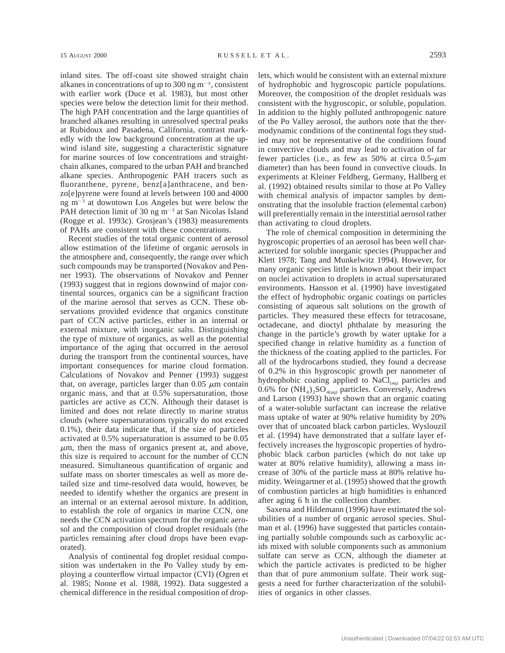inland sites. The off-coast site showed straight chain alkanes in concentrations of up to 300 ng  $m^{-3}$ , consistent with earlier work (Duce et al. 1983), but most other species were below the detection limit for their method. The high PAH concentration and the large quantities of branched alkanes resulting in unresolved spectral peaks at Rubidoux and Pasadena, California, contrast markedly with the low background concentration at the upwind island site, suggesting a characteristic signature for marine sources of low concentrations and straightchain alkanes, compared to the urban PAH and branched alkane species. Anthropogenic PAH tracers such as fluoranthene, pyrene, benz[a]anthracene, and benzo[e]pyrene were found at levels between 100 and 4000 ng  $m^{-3}$  at downtown Los Angeles but were below the PAH detection limit of 30 ng  $m^{-3}$  at San Nicolas Island (Rogge et al. 1993c). Grosjean's (1983) measurements of PAHs are consistent with these concentrations.

Recent studies of the total organic content of aerosol allow estimation of the lifetime of organic aerosols in the atmosphere and, consequently, the range over which such compounds may be transported (Novakov and Penner 1993). The observations of Novakov and Penner (1993) suggest that in regions downwind of major continental sources, organics can be a significant fraction of the marine aerosol that serves as CCN. These observations provided evidence that organics constitute part of CCN active particles, either in an internal or external mixture, with inorganic salts. Distinguishing the type of mixture of organics, as well as the potential importance of the aging that occurred in the aerosol during the transport from the continental sources, have important consequences for marine cloud formation. Calculations of Novakov and Penner (1993) suggest that, on average, particles larger than  $0.05 \mu m$  contain organic mass, and that at 0.5% supersaturation, those particles are active as CCN. Although their dataset is limited and does not relate directly to marine stratus clouds (where supersaturations typically do not exceed 0.1%), their data indicate that, if the size of particles activated at 0.5% supersaturation is assumed to be 0.05  $\mu$ m, then the mass of organics present at, and above, this size is required to account for the number of CCN measured. Simultaneous quantification of organic and sulfate mass on shorter timescales as well as more detailed size and time-resolved data would, however, be needed to identify whether the organics are present in an internal or an external aerosol mixture. In addition, to establish the role of organics in marine CCN, one needs the CCN activation spectrum for the organic aerosol and the composition of cloud droplet residuals (the particles remaining after cloud drops have been evaporated).

Analysis of continental fog droplet residual composition was undertaken in the Po Valley study by employing a counterflow virtual impactor (CVI) (Ogren et al. 1985; Noone et al. 1988, 1992). Data suggested a chemical difference in the residual composition of droplets, which would be consistent with an external mixture of hydrophobic and hygroscopic particle populations. Moreover, the composition of the droplet residuals was consistent with the hygroscopic, or soluble, population. In addition to the highly polluted anthropogenic nature of the Po Valley aerosol, the authors note that the thermodynamic conditions of the continental fogs they studied may not be representative of the conditions found in convective clouds and may lead to activation of far fewer particles (i.e., as few as 50% at circa  $0.5-\mu m$ diameter) than has been found in convective clouds. In experiments at Kleiner Feldberg, Germany, Hallberg et al. (1992) obtained results similar to those at Po Valley with chemical analysis of impactor samples by demonstrating that the insoluble fraction (elemental carbon) will preferentially remain in the interstitial aerosol rather than activating to cloud droplets.

The role of chemical composition in determining the hygroscopic properties of an aerosol has been well characterized for soluble inorganic species (Pruppacher and Klett 1978; Tang and Munkelwitz 1994). However, for many organic species little is known about their impact on nuclei activation to droplets in actual supersaturated environments. Hansson et al. (1990) have investigated the effect of hydrophobic organic coatings on particles consisting of aqueous salt solutions on the growth of particles. They measured these effects for tetracosane, octadecane, and dioctyl phthalate by measuring the change in the particle's growth by water uptake for a specified change in relative humidity as a function of the thickness of the coating applied to the particles. For all of the hydrocarbons studied, they found a decrease of 0.2% in this hygroscopic growth per nanometer of hydrophobic coating applied to  $NaCl<sub>(aq)</sub>$  particles and 0.6% for  $(NH_4)_2SO_{4(aq)}$  particles. Conversely, Andrews and Larson (1993) have shown that an organic coating of a water-soluble surfactant can increase the relative mass uptake of water at 90% relative humidity by 20% over that of uncoated black carbon particles. Wyslouzil et al. (1994) have demonstrated that a sulfate layer effectively increases the hygroscopic properties of hydrophobic black carbon particles (which do not take up water at 80% relative humidity), allowing a mass increase of 30% of the particle mass at 80% relative humidity. Weingartner et al. (1995) showed that the growth of combustion particles at high humidities is enhanced after aging 6 h in the collection chamber.

Saxena and Hildemann (1996) have estimated the solubilities of a number of organic aerosol species. Shulman et al. (1996) have suggested that particles containing partially soluble compounds such as carboxylic acids mixed with soluble components such as ammonium sulfate can serve as CCN, although the diameter at which the particle activates is predicted to be higher than that of pure ammonium sulfate. Their work suggests a need for further characterization of the solubilities of organics in other classes.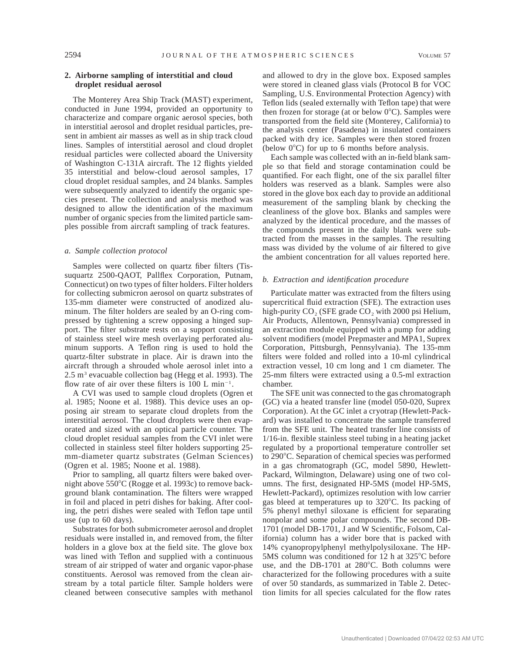# **2. Airborne sampling of interstitial and cloud droplet residual aerosol**

The Monterey Area Ship Track (MAST) experiment, conducted in June 1994, provided an opportunity to characterize and compare organic aerosol species, both in interstitial aerosol and droplet residual particles, present in ambient air masses as well as in ship track cloud lines. Samples of interstitial aerosol and cloud droplet residual particles were collected aboard the University of Washington C-131A aircraft. The 12 flights yielded 35 interstitial and below-cloud aerosol samples, 17 cloud droplet residual samples, and 24 blanks. Samples were subsequently analyzed to identify the organic species present. The collection and analysis method was designed to allow the identification of the maximum number of organic species from the limited particle samples possible from aircraft sampling of track features.

#### *a. Sample collection protocol*

Samples were collected on quartz fiber filters (Tissuquartz 2500-QAOT, Pallflex Corporation, Putnam, Connecticut) on two types of filter holders. Filter holders for collecting submicron aerosol on quartz substrates of 135-mm diameter were constructed of anodized aluminum. The filter holders are sealed by an O-ring compressed by tightening a screw opposing a hinged support. The filter substrate rests on a support consisting of stainless steel wire mesh overlaying perforated aluminum supports. A Teflon ring is used to hold the quartz-filter substrate in place. Air is drawn into the aircraft through a shrouded whole aerosol inlet into a 2.5  $m<sup>3</sup>$  evacuable collection bag (Hegg et al. 1993). The flow rate of air over these filters is  $100 \text{ L min}^{-1}$ .

A CVI was used to sample cloud droplets (Ogren et al. 1985; Noone et al. 1988). This device uses an opposing air stream to separate cloud droplets from the interstitial aerosol. The cloud droplets were then evaporated and sized with an optical particle counter. The cloud droplet residual samples from the CVI inlet were collected in stainless steel filter holders supporting 25 mm-diameter quartz substrates (Gelman Sciences) (Ogren et al. 1985; Noone et al. 1988).

Prior to sampling, all quartz filters were baked overnight above 550°C (Rogge et al. 1993c) to remove background blank contamination. The filters were wrapped in foil and placed in petri dishes for baking. After cooling, the petri dishes were sealed with Teflon tape until use (up to 60 days).

Substrates for both submicrometer aerosol and droplet residuals were installed in, and removed from, the filter holders in a glove box at the field site. The glove box was lined with Teflon and supplied with a continuous stream of air stripped of water and organic vapor-phase constituents. Aerosol was removed from the clean airstream by a total particle filter. Sample holders were cleaned between consecutive samples with methanol

and allowed to dry in the glove box. Exposed samples were stored in cleaned glass vials (Protocol B for VOC Sampling, U.S. Environmental Protection Agency) with Teflon lids (sealed externally with Teflon tape) that were then frozen for storage (at or below  $0^{\circ}$ C). Samples were transported from the field site (Monterey, California) to the analysis center (Pasadena) in insulated containers packed with dry ice. Samples were then stored frozen (below  $0^{\circ}$ C) for up to 6 months before analysis.

Each sample was collected with an in-field blank sample so that field and storage contamination could be quantified. For each flight, one of the six parallel filter holders was reserved as a blank. Samples were also stored in the glove box each day to provide an additional measurement of the sampling blank by checking the cleanliness of the glove box. Blanks and samples were analyzed by the identical procedure, and the masses of the compounds present in the daily blank were subtracted from the masses in the samples. The resulting mass was divided by the volume of air filtered to give the ambient concentration for all values reported here.

#### *b. Extraction and identification procedure*

Particulate matter was extracted from the filters using supercritical fluid extraction (SFE). The extraction uses high-purity  $CO<sub>2</sub>$  (SFE grade  $CO<sub>2</sub>$  with 2000 psi Helium, Air Products, Allentown, Pennsylvania) compressed in an extraction module equipped with a pump for adding solvent modifiers (model Prepmaster and MPA1, Suprex Corporation, Pittsburgh, Pennsylvania). The 135-mm filters were folded and rolled into a 10-ml cylindrical extraction vessel, 10 cm long and 1 cm diameter. The 25-mm filters were extracted using a 0.5-ml extraction chamber.

The SFE unit was connected to the gas chromatograph (GC) via a heated transfer line (model 050-020, Suprex Corporation). At the GC inlet a cryotrap (Hewlett-Packard) was installed to concentrate the sample transferred from the SFE unit. The heated transfer line consists of 1/16-in. flexible stainless steel tubing in a heating jacket regulated by a proportional temperature controller set to 290°C. Separation of chemical species was performed in a gas chromatograph (GC, model 5890, Hewlett-Packard, Wilmington, Delaware) using one of two columns. The first, designated HP-5MS (model HP-5MS, Hewlett-Packard), optimizes resolution with low carrier gas bleed at temperatures up to  $320^{\circ}$ C. Its packing of 5% phenyl methyl siloxane is efficient for separating nonpolar and some polar compounds. The second DB-1701 (model DB-1701, J and W Scientific, Folsom, California) column has a wider bore that is packed with 14% cyanopropylphenyl methylpolysiloxane. The HP- $5MS$  column was conditioned for 12 h at  $325^{\circ}$ C before use, and the DB-1701 at  $280^{\circ}$ C. Both columns were characterized for the following procedures with a suite of over 50 standards, as summarized in Table 2. Detection limits for all species calculated for the flow rates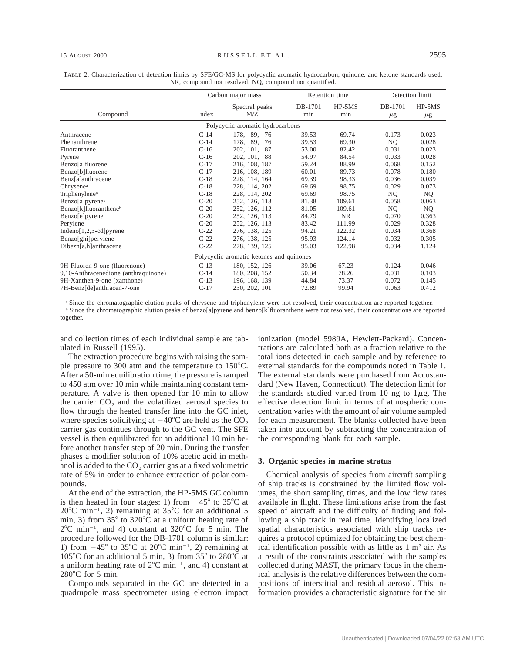|                                      | Carbon major mass<br>Spectral peaks<br>M/Z<br>Compound<br>Index |                                          | Retention time |                 |                    | Detection limit     |  |
|--------------------------------------|-----------------------------------------------------------------|------------------------------------------|----------------|-----------------|--------------------|---------------------|--|
|                                      |                                                                 |                                          | DB-1701<br>min | $HP-5MS$<br>min | DB-1701<br>$\mu$ g | $HP-5MS$<br>$\mu$ g |  |
| Polycyclic aromatic hydrocarbons     |                                                                 |                                          |                |                 |                    |                     |  |
| Anthracene                           | $C-14$                                                          | 89.<br>178.<br>76                        | 39.53          | 69.74           | 0.173              | 0.023               |  |
| Phenanthrene                         | $C-14$                                                          | 178, 89,<br>76                           | 39.53          | 69.30           | NQ.                | 0.028               |  |
| Fluoranthene                         | $C-16$                                                          | 202, 101, 87                             | 53.00          | 82.42           | 0.031              | 0.023               |  |
| Pyrene                               | $C-16$                                                          | 202, 101, 88                             | 54.97          | 84.54           | 0.033              | 0.028               |  |
| Benzo[a]fluorene                     | $C-17$                                                          | 216, 108, 187                            | 59.24          | 88.99           | 0.068              | 0.152               |  |
| Benzo[b]fluorene                     | $C-17$                                                          | 216, 108, 189                            | 60.01          | 89.73           | 0.078              | 0.180               |  |
| Benz[a]anthracene                    | $C-18$                                                          | 228, 114, 164                            | 69.39          | 98.33           | 0.036              | 0.039               |  |
| Chrysene <sup>a</sup>                | $C-18$                                                          | 228, 114, 202                            | 69.69          | 98.75           | 0.029              | 0.073               |  |
| Triphenylene <sup>a</sup>            | $C-18$                                                          | 228, 114, 202                            | 69.69          | 98.75           | NQ.                | NQ.                 |  |
| Benzo[a]pyrene <sup>b</sup>          | $C-20$                                                          | 252, 126, 113                            | 81.38          | 109.61          | 0.058              | 0.063               |  |
| Benzo[k]fluoranthene <sup>b</sup>    | $C-20$                                                          | 252, 126, 112                            | 81.05          | 109.61          | NQ.                | NQ.                 |  |
| Benzo[e]pyrene                       | $C-20$                                                          | 252, 126, 113                            | 84.79          | <b>NR</b>       | 0.070              | 0.363               |  |
| Perylene                             | $C-20$                                                          | 252, 126, 113                            | 83.42          | 111.99          | 0.029              | 0.328               |  |
| Indeno[1,2,3-cd] pyrene              | $C-22$                                                          | 276, 138, 125                            | 94.21          | 122.32          | 0.034              | 0.368               |  |
| Benzo[ghi]perylene                   | $C-22$                                                          | 276, 138, 125                            | 95.93          | 124.14          | 0.032              | 0.305               |  |
| Dibezn[a,h]anthracene                | $C-22$                                                          | 278, 139, 125                            | 95.03          | 122.98          | 0.034              | 1.124               |  |
|                                      |                                                                 | Polycyclic aromatic ketones and quinones |                |                 |                    |                     |  |
| 9H-Fluoren-9-one (fluorenone)        | $C-13$                                                          | 180, 152, 126                            | 39.06          | 67.23           | 0.124              | 0.046               |  |
| 9.10-Anthracenedione (anthraquinone) | $C-14$                                                          | 180, 208, 152                            | 50.34          | 78.26           | 0.031              | 0.103               |  |

TABLE 2. Characterization of detection limits by SFE/GC-MS for polycyclic aromatic hydrocarbon, quinone, and ketone standards used. NR, compound not resolved. NQ, compound not quantified.

<sup>a</sup> Since the chromatographic elution peaks of chrysene and triphenylene were not resolved, their concentration are reported together. <sup>b</sup> Since the chromatographic elution peaks of benzo[a]pyrene and benzo[k]fluoranthene were not resolved, their concentrations are reported together.

196, 168, 139 230, 202, 101

C-13 C-17

and collection times of each individual sample are tabulated in Russell (1995).

9,10-Anthracenedione (anthraquinone) 9H-Xanthen-9-one (xanthone) 7H-Benz[de]anthracen-7-one

The extraction procedure begins with raising the sample pressure to 300 atm and the temperature to  $150^{\circ}$ C. After a 50-min equilibration time, the pressure is ramped to 450 atm over 10 min while maintaining constant temperature. A valve is then opened for 10 min to allow the carrier CO<sub>2</sub> and the volatilized aerosol species to flow through the heated transfer line into the GC inlet, where species solidifying at  $-40^{\circ}$ C are held as the CO<sub>2</sub> carrier gas continues through to the GC vent. The SFE vessel is then equilibrated for an additional 10 min before another transfer step of 20 min. During the transfer phases a modifier solution of 10% acetic acid in methanol is added to the  $CO<sub>2</sub>$  carrier gas at a fixed volumetric rate of 5% in order to enhance extraction of polar compounds.

At the end of the extraction, the HP-5MS GC column is then heated in four stages: 1) from  $-45^{\circ}$  to 35 $^{\circ}$ C at  $20^{\circ}$ C min<sup>-1</sup>, 2) remaining at 35<sup>o</sup>C for an additional 5 min, 3) from  $35^{\circ}$  to  $320^{\circ}$ C at a uniform heating rate of  $2^{\circ}$ C min<sup>-1</sup>, and 4) constant at 320 $^{\circ}$ C for 5 min. The procedure followed for the DB-1701 column is similar: 1) from  $-45^{\circ}$  to 35 $^{\circ}$ C at 20 $^{\circ}$ C min<sup>-1</sup>, 2) remaining at 105 $\rm ^{\circ}C$  for an additional 5 min, 3) from 35 $\rm ^{\circ}$  to 280 $\rm ^{\circ}C$  at a uniform heating rate of  $2^{\circ}$ C min<sup>-1</sup>, and 4) constant at  $280^{\circ}$ C for 5 min.

Compounds separated in the GC are detected in a quadrupole mass spectrometer using electron impact ionization (model 5989A, Hewlett-Packard). Concentrations are calculated both as a fraction relative to the total ions detected in each sample and by reference to external standards for the compounds noted in Table 1. The external standards were purchased from Accustandard (New Haven, Connecticut). The detection limit for the standards studied varied from 10 ng to  $1\mu$ g. The effective detection limit in terms of atmospheric concentration varies with the amount of air volume sampled for each measurement. The blanks collected have been taken into account by subtracting the concentration of the corresponding blank for each sample.

73.37 99.94

0.072 0.063 0.145 0.412

### **3. Organic species in marine stratus**

44.84 72.89

Chemical analysis of species from aircraft sampling of ship tracks is constrained by the limited flow volumes, the short sampling times, and the low flow rates available in flight. These limitations arise from the fast speed of aircraft and the difficulty of finding and following a ship track in real time. Identifying localized spatial characteristics associated with ship tracks requires a protocol optimized for obtaining the best chemical identification possible with as little as  $1 \text{ m}^3$  air. As a result of the constraints associated with the samples collected during MAST, the primary focus in the chemical analysis is the relative differences between the compositions of interstitial and residual aerosol. This information provides a characteristic signature for the air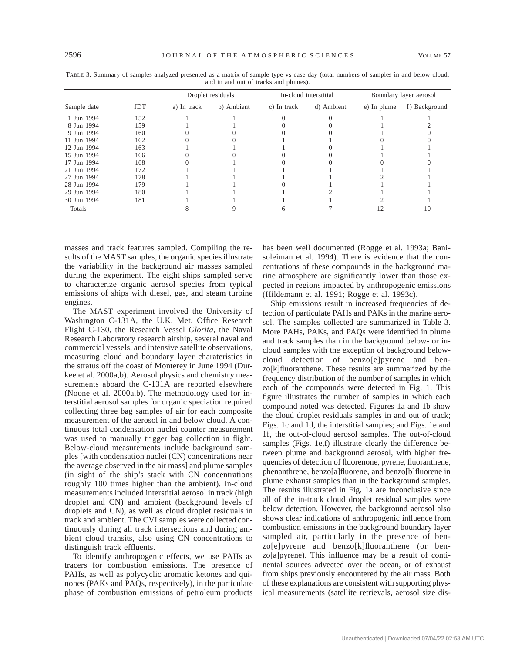|             |            | Droplet residuals |            | In-cloud interstitial |            | Boundary layer aerosol |               |
|-------------|------------|-------------------|------------|-----------------------|------------|------------------------|---------------|
| Sample date | <b>JDT</b> | a) In track       | b) Ambient | c) In track           | d) Ambient | e) In plume            | f) Background |
| 1 Jun 1994  | 152        |                   |            |                       |            |                        |               |
| 8 Jun 1994  | 159        |                   |            |                       |            |                        |               |
| 9 Jun 1994  | 160        |                   |            |                       |            |                        |               |
| 11 Jun 1994 | 162        |                   |            |                       |            |                        |               |
| 12 Jun 1994 | 163        |                   |            |                       |            |                        |               |
| 15 Jun 1994 | 166        |                   |            |                       |            |                        |               |
| 17 Jun 1994 | 168        |                   |            |                       |            |                        |               |
| 21 Jun 1994 | 172        |                   |            |                       |            |                        |               |
| 27 Jun 1994 | 178        |                   |            |                       |            |                        |               |
| 28 Jun 1994 | 179        |                   |            |                       |            |                        |               |
| 29 Jun 1994 | 180        |                   |            |                       |            |                        |               |
| 30 Jun 1994 | 181        |                   |            |                       |            |                        |               |
| Totals      |            |                   |            |                       |            |                        | 10            |

TABLE 3. Summary of samples analyzed presented as a matrix of sample type vs case day (total numbers of samples in and below cloud, and in and out of tracks and plumes).

masses and track features sampled. Compiling the results of the MAST samples, the organic species illustrate the variability in the background air masses sampled during the experiment. The eight ships sampled serve to characterize organic aerosol species from typical emissions of ships with diesel, gas, and steam turbine engines.

The MAST experiment involved the University of Washington C-131A, the U.K. Met. Office Research Flight C-130, the Research Vessel *Glorita,* the Naval Research Laboratory research airship, several naval and commercial vessels, and intensive satellite observations, measuring cloud and boundary layer charateristics in the stratus off the coast of Monterey in June 1994 (Durkee et al. 2000a,b). Aerosol physics and chemistry measurements aboard the C-131A are reported elsewhere (Noone et al. 2000a,b). The methodology used for interstitial aerosol samples for organic speciation required collecting three bag samples of air for each composite measurement of the aerosol in and below cloud. A continuous total condensation nuclei counter measurement was used to manually trigger bag collection in flight. Below-cloud measurements include background samples [with condensation nuclei (CN) concentrations near the average observed in the air mass] and plume samples (in sight of the ship's stack with CN concentrations roughly 100 times higher than the ambient). In-cloud measurements included interstitial aerosol in track (high droplet and CN) and ambient (background levels of droplets and CN), as well as cloud droplet residuals in track and ambient. The CVI samples were collected continuously during all track intersections and during ambient cloud transits, also using CN concentrations to distinguish track effluents.

To identify anthropogenic effects, we use PAHs as tracers for combustion emissions. The presence of PAHs, as well as polycyclic aromatic ketones and quinones (PAKs and PAQs, respectively), in the particulate phase of combustion emissions of petroleum products has been well documented (Rogge et al. 1993a; Banisoleiman et al. 1994). There is evidence that the concentrations of these compounds in the background marine atmosphere are significantly lower than those expected in regions impacted by anthropogenic emissions (Hildemann et al. 1991; Rogge et al. 1993c).

Ship emissions result in increased frequencies of detection of particulate PAHs and PAKs in the marine aerosol. The samples collected are summarized in Table 3. More PAHs, PAKs, and PAQs were identified in plume and track samples than in the background below- or incloud samples with the exception of background belowcloud detection of benzo[e]pyrene and benzo[k]fluoranthene. These results are summarized by the frequency distribution of the number of samples in which each of the compounds were detected in Fig. 1. This figure illustrates the number of samples in which each compound noted was detected. Figures 1a and 1b show the cloud droplet residuals samples in and out of track; Figs. 1c and 1d, the interstitial samples; and Figs. 1e and 1f, the out-of-cloud aerosol samples. The out-of-cloud samples (Figs. 1e,f) illustrate clearly the difference between plume and background aerosol, with higher frequencies of detection of fluorenone, pyrene, fluoranthene, phenanthrene, benzo[a]fluorene, and benzo[b]fluorene in plume exhaust samples than in the background samples. The results illustrated in Fig. 1a are inconclusive since all of the in-track cloud droplet residual samples were below detection. However, the background aerosol also shows clear indications of anthropogenic influence from combustion emissions in the background boundary layer sampled air, particularly in the presence of benzo[e]pyrene and benzo[k]fluoranthene (or benzo[a]pyrene). This influence may be a result of continental sources advected over the ocean, or of exhaust from ships previously encountered by the air mass. Both of these explanations are consistent with supporting physical measurements (satellite retrievals, aerosol size dis-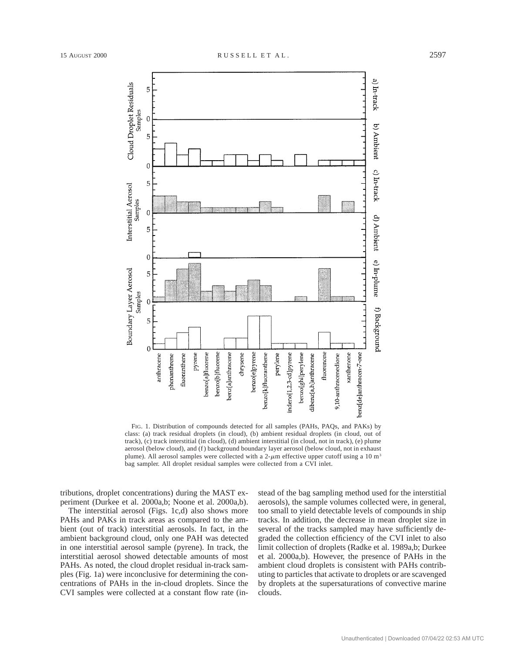

FIG. 1. Distribution of compounds detected for all samples (PAHs, PAQs, and PAKs) by class: (a) track residual droplets (in cloud), (b) ambient residual droplets (in cloud, out of track), (c) track interstitial (in cloud), (d) ambient interstitial (in cloud, not in track), (e) plume aerosol (below cloud), and (f) background boundary layer aerosol (below cloud, not in exhaust plume). All aerosol samples were collected with a 2- $\mu$ m effective upper cutoff using a 10 m<sup>3</sup> bag sampler. All droplet residual samples were collected from a CVI inlet.

tributions, droplet concentrations) during the MAST experiment (Durkee et al. 2000a,b; Noone et al. 2000a,b).

The interstitial aerosol (Figs. 1c,d) also shows more PAHs and PAKs in track areas as compared to the ambient (out of track) interstitial aerosols. In fact, in the ambient background cloud, only one PAH was detected in one interstitial aerosol sample (pyrene). In track, the interstitial aerosol showed detectable amounts of most PAHs. As noted, the cloud droplet residual in-track samples (Fig. 1a) were inconclusive for determining the concentrations of PAHs in the in-cloud droplets. Since the CVI samples were collected at a constant flow rate (instead of the bag sampling method used for the interstitial aerosols), the sample volumes collected were, in general, too small to yield detectable levels of compounds in ship tracks. In addition, the decrease in mean droplet size in several of the tracks sampled may have sufficiently degraded the collection efficiency of the CVI inlet to also limit collection of droplets (Radke et al. 1989a,b; Durkee et al. 2000a,b). However, the presence of PAHs in the ambient cloud droplets is consistent with PAHs contributing to particles that activate to droplets or are scavenged by droplets at the supersaturations of convective marine clouds.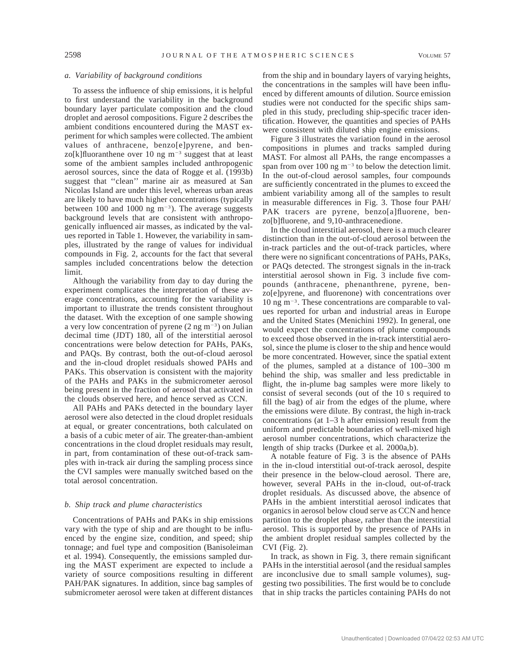# *a. Variability of background conditions*

To assess the influence of ship emissions, it is helpful to first understand the variability in the background boundary layer particulate composition and the cloud droplet and aerosol compositions. Figure 2 describes the ambient conditions encountered during the MAST experiment for which samples were collected. The ambient values of anthracene, benzo[e]pyrene, and benzo[k]fluoranthene over 10 ng  $m^{-3}$  suggest that at least some of the ambient samples included anthropogenic aerosol sources, since the data of Rogge et al. (1993b) suggest that ''clean'' marine air as measured at San Nicolas Island are under this level, whereas urban areas are likely to have much higher concentrations (typically between 100 and 1000 ng  $m^{-3}$ ). The average suggests background levels that are consistent with anthropogenically influenced air masses, as indicated by the values reported in Table 1. However, the variability in samples, illustrated by the range of values for individual compounds in Fig. 2, accounts for the fact that several samples included concentrations below the detection limit.

Although the variability from day to day during the experiment complicates the interpretation of these average concentrations, accounting for the variability is important to illustrate the trends consistent throughout the dataset. With the exception of one sample showing a very low concentration of pyrene  $(2 \text{ ng } m^{-3})$  on Julian decimal time (JDT) 180, all of the interstitial aerosol concentrations were below detection for PAHs, PAKs, and PAQs. By contrast, both the out-of-cloud aerosol and the in-cloud droplet residuals showed PAHs and PAKs. This observation is consistent with the majority of the PAHs and PAKs in the submicrometer aerosol being present in the fraction of aerosol that activated in the clouds observed here, and hence served as CCN.

All PAHs and PAKs detected in the boundary layer aerosol were also detected in the cloud droplet residuals at equal, or greater concentrations, both calculated on a basis of a cubic meter of air. The greater-than-ambient concentrations in the cloud droplet residuals may result, in part, from contamination of these out-of-track samples with in-track air during the sampling process since the CVI samples were manually switched based on the total aerosol concentration.

# *b. Ship track and plume characteristics*

Concentrations of PAHs and PAKs in ship emissions vary with the type of ship and are thought to be influenced by the engine size, condition, and speed; ship tonnage; and fuel type and composition (Banisoleiman et al. 1994). Consequently, the emissions sampled during the MAST experiment are expected to include a variety of source compositions resulting in different PAH/PAK signatures. In addition, since bag samples of submicrometer aerosol were taken at different distances

from the ship and in boundary layers of varying heights, the concentrations in the samples will have been influenced by different amounts of dilution. Source emission studies were not conducted for the specific ships sampled in this study, precluding ship-specific tracer identification. However, the quantities and species of PAHs were consistent with diluted ship engine emissions.

Figure 3 illustrates the variation found in the aerosol compositions in plumes and tracks sampled during MAST. For almost all PAHs, the range encompasses a span from over 100 ng  $m^{-3}$  to below the detection limit. In the out-of-cloud aerosol samples, four compounds are sufficiently concentrated in the plumes to exceed the ambient variability among all of the samples to result in measurable differences in Fig. 3. Those four PAH/ PAK tracers are pyrene, benzo[a]fluorene, benzo[b]fluorene, and 9,10-anthracenedione.

In the cloud interstitial aerosol, there is a much clearer distinction than in the out-of-cloud aerosol between the in-track particles and the out-of-track particles, where there were no significant concentrations of PAHs, PAKs, or PAQs detected. The strongest signals in the in-track interstitial aerosol shown in Fig. 3 include five compounds (anthracene, phenanthrene, pyrene, benzo[e]pyrene, and fluorenone) with concentrations over  $10$  ng m<sup>-3</sup>. These concentrations are comparable to values reported for urban and industrial areas in Europe and the United States (Menichini 1992). In general, one would expect the concentrations of plume compounds to exceed those observed in the in-track interstitial aerosol, since the plume is closer to the ship and hence would be more concentrated. However, since the spatial extent of the plumes, sampled at a distance of 100–300 m behind the ship, was smaller and less predictable in flight, the in-plume bag samples were more likely to consist of several seconds (out of the 10 s required to fill the bag) of air from the edges of the plume, where the emissions were dilute. By contrast, the high in-track concentrations (at 1–3 h after emission) result from the uniform and predictable boundaries of well-mixed high aerosol number concentrations, which characterize the length of ship tracks (Durkee et al. 2000a,b).

A notable feature of Fig. 3 is the absence of PAHs in the in-cloud interstitial out-of-track aerosol, despite their presence in the below-cloud aerosol. There are, however, several PAHs in the in-cloud, out-of-track droplet residuals. As discussed above, the absence of PAHs in the ambient interstitial aerosol indicates that organics in aerosol below cloud serve as CCN and hence partition to the droplet phase, rather than the interstitial aerosol. This is supported by the presence of PAHs in the ambient droplet residual samples collected by the CVI (Fig. 2).

In track, as shown in Fig. 3, there remain significant PAHs in the interstitial aerosol (and the residual samples are inconclusive due to small sample volumes), suggesting two possibilities. The first would be to conclude that in ship tracks the particles containing PAHs do not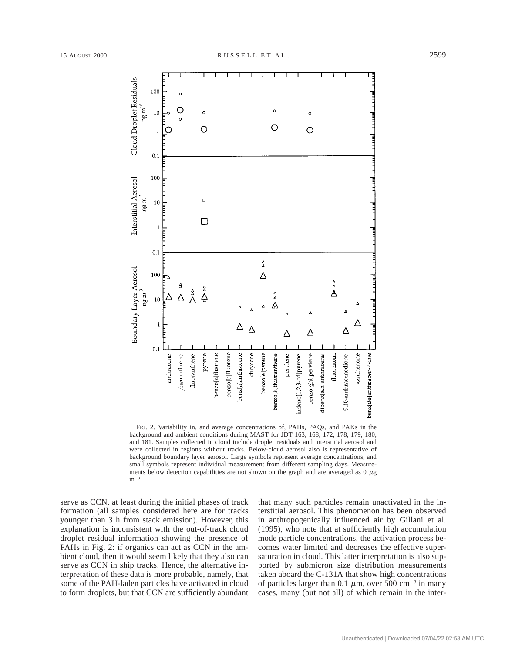

FIG. 2. Variability in, and average concentrations of, PAHs, PAQs, and PAKs in the background and ambient conditions during MAST for JDT 163, 168, 172, 178, 179, 180, and 181. Samples collected in cloud include droplet residuals and interstitial aerosol and were collected in regions without tracks. Below-cloud aerosol also is representative of background boundary layer aerosol. Large symbols represent average concentrations, and small symbols represent individual measurement from different sampling days. Measurements below detection capabilities are not shown on the graph and are averaged as  $0 \mu$ g  $m^{-3}$ .

serve as CCN, at least during the initial phases of track formation (all samples considered here are for tracks younger than 3 h from stack emission). However, this explanation is inconsistent with the out-of-track cloud droplet residual information showing the presence of PAHs in Fig. 2: if organics can act as CCN in the ambient cloud, then it would seem likely that they also can serve as CCN in ship tracks. Hence, the alternative interpretation of these data is more probable, namely, that some of the PAH-laden particles have activated in cloud to form droplets, but that CCN are sufficiently abundant that many such particles remain unactivated in the interstitial aerosol. This phenomenon has been observed in anthropogenically influenced air by Gillani et al. (1995), who note that at sufficiently high accumulation mode particle concentrations, the activation process becomes water limited and decreases the effective supersaturation in cloud. This latter interpretation is also supported by submicron size distribution measurements taken aboard the C-131A that show high concentrations of particles larger than 0.1  $\mu$ m, over 500 cm<sup>-3</sup> in many cases, many (but not all) of which remain in the inter-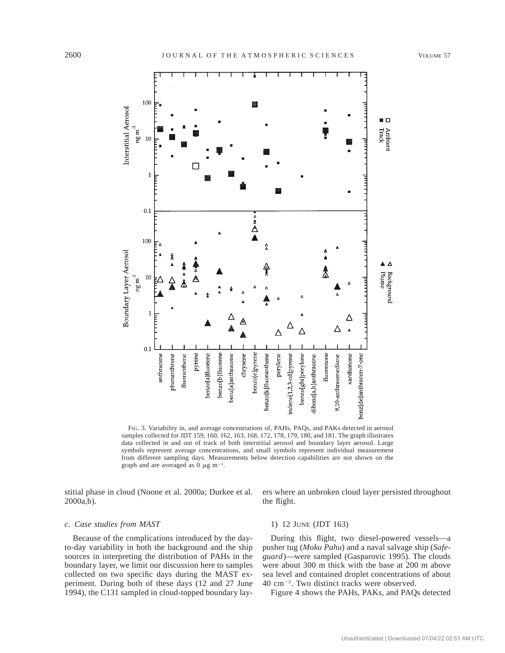

FIG. 3. Variability in, and average concentrations of, PAHs, PAQs, and PAKs detected in aerosol samples collected for JDT 159, 160, 162, 163, 168, 172, 178, 179, 180, and 181. The graph illustrates data collected in and out of track of both interstitial aerosol and boundary layer aerosol. Large symbols represent average concentrations, and small symbols represent individual measurement from different sampling days. Measurements below detection capabilities are not shown on the graph and are averaged as 0  $\mu$ g m<sup>-3</sup>.

stitial phase in cloud (Noone et al. 2000a; Durkee et al. 2000a,b).

ers where an unbroken cloud layer persisted throughout the flight.

#### *c. Case studies from MAST*

Because of the complications introduced by the dayto-day variability in both the background and the ship sources in interpreting the distribution of PAHs in the boundary layer, we limit our discussion here to samples collected on two specific days during the MAST experiment. During both of these days (12 and 27 June 1994), the C131 sampled in cloud-topped boundary lay-

# 1) 12 JUNE (JDT 163)

During this flight, two diesel-powered vessels—a pusher tug (*Moku Pahu*) and a naval salvage ship (*Safeguard*)—were sampled (Gasparovic 1995). The clouds were about 300 m thick with the base at 200 m above sea level and contained droplet concentrations of about 40 cm<sup>-3</sup>. Two distinct tracks were observed.

Figure 4 shows the PAHs, PAKs, and PAQs detected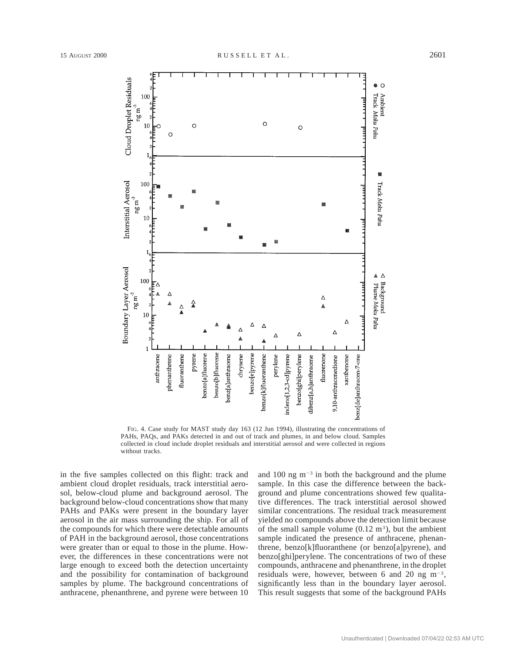

FIG. 4. Case study for MAST study day 163 (12 Jun 1994), illustrating the concentrations of PAHs, PAQs, and PAKs detected in and out of track and plumes, in and below cloud. Samples collected in cloud include droplet residuals and interstitial aerosol and were collected in regions without tracks.

in the five samples collected on this flight: track and ambient cloud droplet residuals, track interstitial aerosol, below-cloud plume and background aerosol. The background below-cloud concentrations show that many PAHs and PAKs were present in the boundary layer aerosol in the air mass surrounding the ship. For all of the compounds for which there were detectable amounts of PAH in the background aerosol, those concentrations were greater than or equal to those in the plume. However, the differences in these concentrations were not large enough to exceed both the detection uncertainty and the possibility for contamination of background samples by plume. The background concentrations of anthracene, phenanthrene, and pyrene were between 10 and 100 ng  $m^{-3}$  in both the background and the plume sample. In this case the difference between the background and plume concentrations showed few qualitative differences. The track interstitial aerosol showed similar concentrations. The residual track measurement yielded no compounds above the detection limit because of the small sample volume  $(0.12 \text{ m}^3)$ , but the ambient sample indicated the presence of anthracene, phenanthrene, benzo[k]fluoranthene (or benzo[a]pyrene), and benzo[ghi]perylene. The concentrations of two of these compounds, anthracene and phenanthrene, in the droplet residuals were, however, between 6 and 20 ng  $m^{-3}$ , significantly less than in the boundary layer aerosol. This result suggests that some of the background PAHs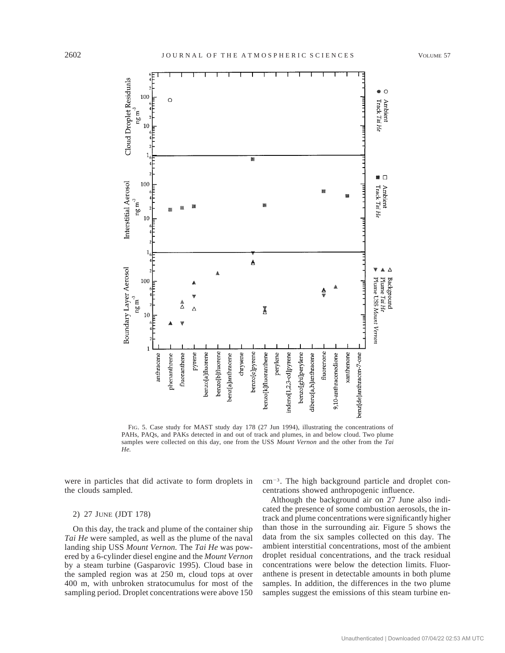

FIG. 5. Case study for MAST study day 178 (27 Jun 1994), illustrating the concentrations of PAHs, PAQs, and PAKs detected in and out of track and plumes, in and below cloud. Two plume samples were collected on this day, one from the USS *Mount Vernon* and the other from the *Tai He.*

were in particles that did activate to form droplets in the clouds sampled.

### 2) 27 JUNE (JDT 178)

On this day, the track and plume of the container ship *Tai He* were sampled, as well as the plume of the naval landing ship USS *Mount Vernon.* The *Tai He* was powered by a 6-cylinder diesel engine and the *Mount Vernon* by a steam turbine (Gasparovic 1995). Cloud base in the sampled region was at 250 m, cloud tops at over 400 m, with unbroken stratocumulus for most of the sampling period. Droplet concentrations were above 150

 $cm<sup>-3</sup>$ . The high background particle and droplet concentrations showed anthropogenic influence.

Although the background air on 27 June also indicated the presence of some combustion aerosols, the intrack and plume concentrations were significantly higher than those in the surrounding air. Figure 5 shows the data from the six samples collected on this day. The ambient interstitial concentrations, most of the ambient droplet residual concentrations, and the track residual concentrations were below the detection limits. Fluoranthene is present in detectable amounts in both plume samples. In addition, the differences in the two plume samples suggest the emissions of this steam turbine en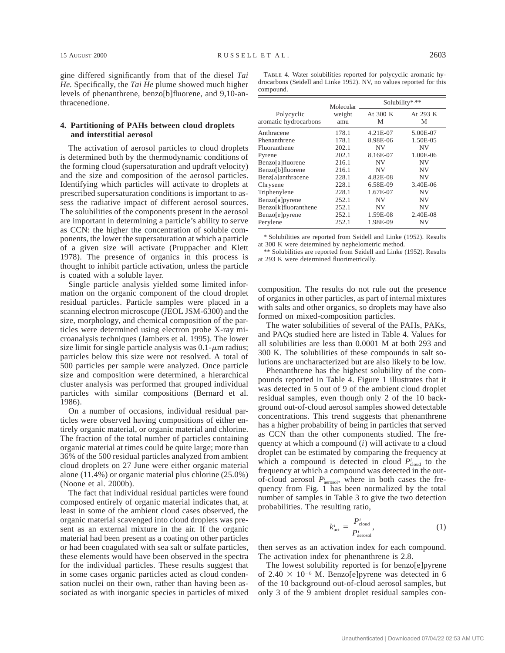gine differed significantly from that of the diesel *Tai He.* Specifically, the *Tai He* plume showed much higher levels of phenanthrene, benzo[b]fluorene, and 9,10-anthracenedione.

### **4. Partitioning of PAHs between cloud droplets and interstitial aerosol**

The activation of aerosol particles to cloud droplets is determined both by the thermodynamic conditions of the forming cloud (supersaturation and updraft velocity) and the size and composition of the aerosol particles. Identifying which particles will activate to droplets at prescribed supersaturation conditions is important to assess the radiative impact of different aerosol sources. The solubilities of the components present in the aerosol are important in determining a particle's ability to serve as CCN: the higher the concentration of soluble components, the lower the supersaturation at which a particle of a given size will activate (Pruppacher and Klett 1978). The presence of organics in this process is thought to inhibit particle activation, unless the particle is coated with a soluble layer.

Single particle analysis yielded some limited information on the organic component of the cloud droplet residual particles. Particle samples were placed in a scanning electron microscope (JEOL JSM-6300) and the size, morphology, and chemical composition of the particles were determined using electron probe X-ray microanalysis techniques (Jambers et al. 1995). The lower size limit for single particle analysis was  $0.1$ - $\mu$ m radius; particles below this size were not resolved. A total of 500 particles per sample were analyzed. Once particle size and composition were determined, a hierarchical cluster analysis was performed that grouped individual particles with similar compositions (Bernard et al. 1986).

On a number of occasions, individual residual particles were observed having compositions of either entirely organic material, or organic material and chlorine. The fraction of the total number of particles containing organic material at times could be quite large; more than 36% of the 500 residual particles analyzed from ambient cloud droplets on 27 June were either organic material alone (11.4%) or organic material plus chlorine (25.0%) (Noone et al. 2000b).

The fact that individual residual particles were found composed entirely of organic material indicates that, at least in some of the ambient cloud cases observed, the organic material scavenged into cloud droplets was present as an external mixture in the air. If the organic material had been present as a coating on other particles or had been coagulated with sea salt or sulfate particles, these elements would have been observed in the spectra for the individual particles. These results suggest that in some cases organic particles acted as cloud condensation nuclei on their own, rather than having been associated as with inorganic species in particles of mixed

TABLE 4. Water solubilities reported for polycyclic aromatic hydrocarbons (Seidell and Linke 1952). NV, no values reported for this compound.

|                                     | Molecular     | Solubility*** |               |  |  |
|-------------------------------------|---------------|---------------|---------------|--|--|
| Polycyclic<br>aromatic hydrocarbons | weight<br>amu | At 300 K<br>М | At 293 K<br>M |  |  |
| Anthracene                          | 178.1         | 4.21E-07      | 5.00E-07      |  |  |
| Phenanthrene                        | 178.1         | 8.98E-06      | 1.50E-05      |  |  |
| Fluoranthene                        | 202.1         | ΝV            | NV            |  |  |
| Pyrene                              | 202.1         | 8.16E-07      | 1.00E-06      |  |  |
| Benzo[a]fluorene                    | 216.1         | <b>NV</b>     | <b>NV</b>     |  |  |
| Benzo[b]fluorene                    | 216.1         | <b>NV</b>     | <b>NV</b>     |  |  |
| Benz[a]anthracene                   | 228.1         | 4.82E-08      | <b>NV</b>     |  |  |
| Chrysene                            | 228.1         | 6.58E-09      | 3.40E-06      |  |  |
| Triphenylene                        | 228.1         | 1.67E-07      | <b>NV</b>     |  |  |
| Benzo[a]pyrene                      | 252.1         | NV            | NV            |  |  |
| Benzo[k]fluoranthene                | 252.1         | NV            | <b>NV</b>     |  |  |
| Benzo[e]pyrene                      | 252.1         | 1.59E-08      | 2.40E-08      |  |  |
| Perylene                            | 252.1         | 1.98E-09      | NV            |  |  |

\* Solubilities are reported from Seidell and Linke (1952). Results at 300 K were determined by nephelometric method.

\*\* Solubilities are reported from Seidell and Linke (1952). Results at 293 K were determined fluorimetrically.

composition. The results do not rule out the presence of organics in other particles, as part of internal mixtures with salts and other organics, so droplets may have also formed on mixed-composition particles.

The water solubilities of several of the PAHs, PAKs, and PAQs studied here are listed in Table 4. Values for all solubilities are less than 0.0001 M at both 293 and 300 K. The solubilities of these compounds in salt solutions are uncharacterized but are also likely to be low.

Phenanthrene has the highest solubility of the compounds reported in Table 4. Figure 1 illustrates that it was detected in 5 out of 9 of the ambient cloud droplet residual samples, even though only 2 of the 10 background out-of-cloud aerosol samples showed detectable concentrations. This trend suggests that phenanthrene has a higher probability of being in particles that served as CCN than the other components studied. The frequency at which a compound (*i*) will activate to a cloud droplet can be estimated by comparing the frequency at which a compound is detected in cloud  $P_{\text{cloud}}^i$  to the frequency at which a compound was detected in the outof-cloud aerosol  $P_{\text{aerosol}}$ , where in both cases the frequency from Fig. 1 has been normalized by the total number of samples in Table 3 to give the two detection probabilities. The resulting ratio,

$$
k_{\text{act}}^i = \frac{P_{\text{cloud}}^i}{P_{\text{aerosol}}^i},\tag{1}
$$

then serves as an activation index for each compound. The activation index for phenanthrene is 2.8.

The lowest solubility reported is for benzo[e]pyrene of  $2.40 \times 10^{-8}$  M. Benzo[e]pyrene was detected in 6 of the 10 background out-of-cloud aerosol samples, but only 3 of the 9 ambient droplet residual samples con-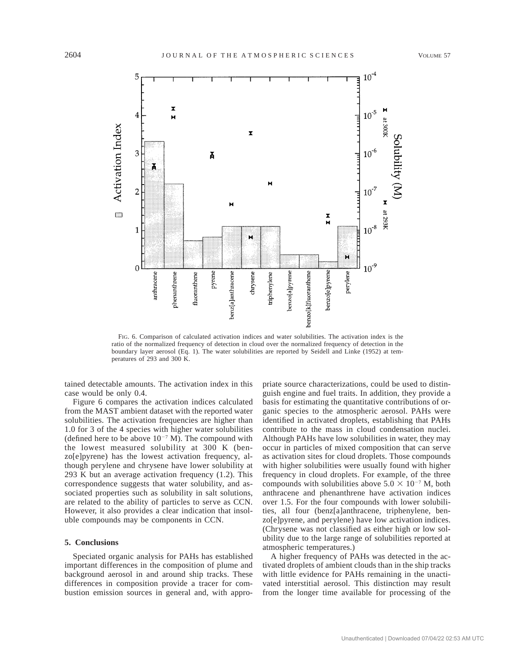

FIG. 6. Comparison of calculated activation indices and water solubilities. The activation index is the ratio of the normalized frequency of detection in cloud over the normalized frequency of detection in the boundary layer aerosol (Eq. 1). The water solubilities are reported by Seidell and Linke (1952) at temperatures of 293 and 300 K.

tained detectable amounts. The activation index in this case would be only 0.4.

Figure 6 compares the activation indices calculated from the MAST ambient dataset with the reported water solubilities. The activation frequencies are higher than 1.0 for 3 of the 4 species with higher water solubilities (defined here to be above  $10^{-7}$  M). The compound with the lowest measured solubility at 300 K (benzo[e]pyrene) has the lowest activation frequency, although perylene and chrysene have lower solubility at 293 K but an average activation frequency (1.2). This correspondence suggests that water solubility, and associated properties such as solubility in salt solutions, are related to the ability of particles to serve as CCN. However, it also provides a clear indication that insoluble compounds may be components in CCN.

# **5. Conclusions**

Speciated organic analysis for PAHs has established important differences in the composition of plume and background aerosol in and around ship tracks. These differences in composition provide a tracer for combustion emission sources in general and, with appropriate source characterizations, could be used to distinguish engine and fuel traits. In addition, they provide a basis for estimating the quantitative contributions of organic species to the atmospheric aerosol. PAHs were identified in activated droplets, establishing that PAHs contribute to the mass in cloud condensation nuclei. Although PAHs have low solubilities in water, they may occur in particles of mixed composition that can serve as activation sites for cloud droplets. Those compounds with higher solubilities were usually found with higher frequency in cloud droplets. For example, of the three compounds with solubilities above  $5.0 \times 10^{-7}$  M, both anthracene and phenanthrene have activation indices over 1.5. For the four compounds with lower solubilities, all four (benz[a]anthracene, triphenylene, benzo[e]pyrene, and perylene) have low activation indices. (Chrysene was not classified as either high or low solubility due to the large range of solubilities reported at atmospheric temperatures.)

A higher frequency of PAHs was detected in the activated droplets of ambient clouds than in the ship tracks with little evidence for PAHs remaining in the unactivated interstitial aerosol. This distinction may result from the longer time available for processing of the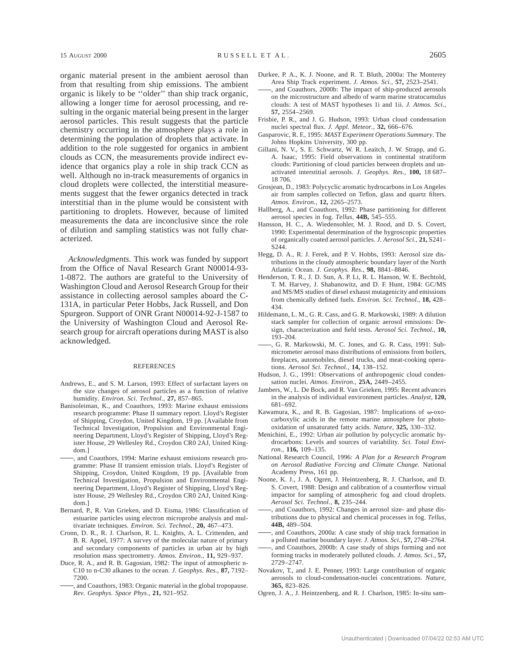organic material present in the ambient aerosol than from that resulting from ship emissions. The ambient organic is likely to be ''older'' than ship track organic, allowing a longer time for aerosol processing, and resulting in the organic material being present in the larger aerosol particles. This result suggests that the particle chemistry occurring in the atmosphere plays a role in determining the population of droplets that activate. In addition to the role suggested for organics in ambient clouds as CCN, the measurements provide indirect evidence that organics play a role in ship track CCN as well. Although no in-track measurements of organics in cloud droplets were collected, the interstitial measurements suggest that the fewer organics detected in track interstitial than in the plume would be consistent with partitioning to droplets. However, because of limited measurements the data are inconclusive since the role of dilution and sampling statistics was not fully characterized.

*Acknowledgments.* This work was funded by support from the Office of Naval Research Grant N00014-93- 1-0872. The authors are grateful to the University of Washington Cloud and Aerosol Research Group for their assistance in collecting aerosol samples aboard the C-131A, in particular Peter Hobbs, Jack Russell, and Don Spurgeon. Support of ONR Grant N00014-92-J-1587 to the University of Washington Cloud and Aerosol Research group for aircraft operations during MAST is also acknowledged.

#### **REFERENCES**

- Andrews, E., and S. M. Larson, 1993: Effect of surfactant layers on the size changes of aerosol particles as a function of relative humidity. *Environ. Sci. Technol.,* **27,** 857–865.
- Banisoleiman, K., and Coauthors, 1993: Marine exhaust emissions research programme: Phase II summary report. Lloyd's Register of Shipping, Croydon, United Kingdom, 19 pp. [Available from Technical Investigation, Propulsion and Environmental Engineering Department, Lloyd's Register of Shipping, Lloyd's Register House, 29 Wellesley Rd., Croydon CR0 2AJ, United Kingdom.]
- , and Coauthors, 1994: Marine exhaust emissions research programme: Phase II transient emission trials. Lloyd's Register of Shipping, Croydon, United Kingdom, 19 pp. [Available from Technical Investigation, Propulsion and Environmental Engineering Department, Lloyd's Register of Shipping, Lloyd's Register House, 29 Wellesley Rd., Croydon CR0 2AJ, United Kingdom.]
- Bernard, P., R. Van Grieken, and D. Eisma, 1986: Classification of estuarine particles using electron microprobe analysis and multivariate techniques. *Environ. Sci. Technol.,* **20,** 467–473.
- Cronn, D. R., R. J. Charlson, R. L. Knights, A. L. Crittenden, and B. R. Appel, 1977: A survey of the molecular nature of primary and secondary components of particles in urban air by high resolution mass spectrometry. *Atmos. Environ.,* **11,** 929–937.
- Duce, R. A., and R. B. Gagosian, 1982: The input of atmospheric n-C10 to n-C30 alkanes to the ocean. *J. Geophys. Res.,* **87,** 7192– 7200.
- , and Coauthors, 1983: Organic material in the global tropopause. *Rev. Geophys. Space Phys.,* **21,** 921–952.
- Durkee, P. A., K. J. Noone, and R. T. Bluth, 2000a: The Monterey Area Ship Track experiment. *J. Atmos. Sci.,* **57,** 2523–2541.
- , and Coauthors, 2000b: The impact of ship-produced aerosols on the microstructure and albedo of warm marine stratocumulus clouds: A test of MAST hypotheses 1i and 1ii. *J. Atmos. Sci.,* **57,** 2554–2569.
- Frisbie, P. R., and J. G. Hudson, 1993: Urban cloud condensation nuclei spectral flux. *J. Appl. Meteor.,* **32,** 666–676.
- Gasparovic, R. F., 1995: *MAST Experiment Operations Summary.* The Johns Hopkins University, 300 pp.
- Gillani, N. V., S. E. Schwartz, W. R. Leaitch, J. W. Strapp, and G. A. Isaac, 1995: Field observations in continental stratiform clouds: Partitioning of cloud particles between droplets and unactivated interstitial aerosols. *J. Geophys. Res.,* **100,** 18 687– 18 706.
- Grosjean, D., 1983: Polycyclic aromatic hydrocarbons in Los Angeles air from samples collected on Teflon, glass and quartz filters. *Atmos. Environ.,* **12,** 2265–2573.
- Hallberg, A., and Coauthors, 1992: Phase partitioning for different aerosol species in fog. *Tellus,* **44B,** 545–555.
- Hansson, H. C., A. Wiedensohler, M. J. Rood, and D. S. Covert, 1990: Experimental determination of the hygroscopic properties of organically coated aerosol particles. *J. Aerosol Sci.,* **21,** S241– S244.
- Hegg, D. A., R. J. Ferek, and P. V. Hobbs, 1993: Aerosol size distributions in the cloudy atmospheric boundary layer of the North Atlantic Ocean. *J. Geophys. Res.,* **98,** 8841–8846.
- Henderson, T. R., J. D. Sun, A. P. Li, R. L. Hanson, W. E. Bechtold, T. M. Harvey, J. Shabanowitz, and D. F. Hunt, 1984: GC/MS and MS/MS studies of diesel exhaust mutagenicity and emissions from chemically defined fuels. *Environ. Sci. Technol.,* **18,** 428– 434.
- Hildemann, L. M., G. R. Cass, and G. R. Markowski, 1989: A dilution stack sampler for collection of organic aerosol emissions: Design, characterization and field tests. *Aerosol Sci. Technol.,* **10,** 193–204.
- , G. R. Markowski, M. C. Jones, and G. R. Cass, 1991: Submicrometer aerosol mass distributions of emissions from boilers, fireplaces, automobiles, diesel trucks, and meat-cooking operations. *Aerosol Sci. Technol.,* **14,** 138–152.
- Hudson, J. G., 1991: Observations of anthropogenic cloud condensation nuclei. *Atmos. Environ.,* **25A,** 2449–2455.
- Jambers, W., L. De Bock, and R. Van Grieken, 1995: Recent advances in the analysis of individual environment particles. *Analyst,* **120,** 681–692.
- Kawamura, K., and R. B. Gagosian, 1987: Implications of  $\omega$ -oxocarboxylic acids in the remote marine atmosphere for photooxidation of unsaturated fatty acids. *Nature,* **325,** 330–332.
- Menichini, E., 1992: Urban air pollution by polycyclic aromatic hydrocarbons: Levels and sources of variability. *Sci. Total Environ.,* **116,** 109–135.
- National Research Council, 1996: *A Plan for a Research Program on Aerosol Radiative Forcing and Climate Change.* National Academy Press, 161 pp.
- Noone, K. J., J. A. Ogren, J. Heintzenberg, R. J. Charlson, and D. S. Covert, 1988: Design and calibration of a counterflow virtual impactor for sampling of atmospheric fog and cloud droplets. *Aerosol Sci. Technol.,* **8,** 235–244.
- , and Coauthors, 1992: Changes in aerosol size- and phase distributions due to physical and chemical processes in fog. *Tellus,* **44B,** 489–504.
- , and Coauthors, 2000a: A case study of ship track formation in a polluted marine boundary layer. *J. Atmos. Sci.,* **57,** 2748–2764.
- , and Coauthors, 2000b: A case study of ships forming and not forming tracks in moderately polluted clouds. *J. Atmos. Sci.,* **57,** 2729–2747.
- Novakov, T., and J. E. Penner, 1993: Large contribution of organic aerosols to cloud-condensation-nuclei concentrations. *Nature,* **365,** 823–826.
- Ogren, J. A., J. Heintzenberg, and R. J. Charlson, 1985: In-situ sam-